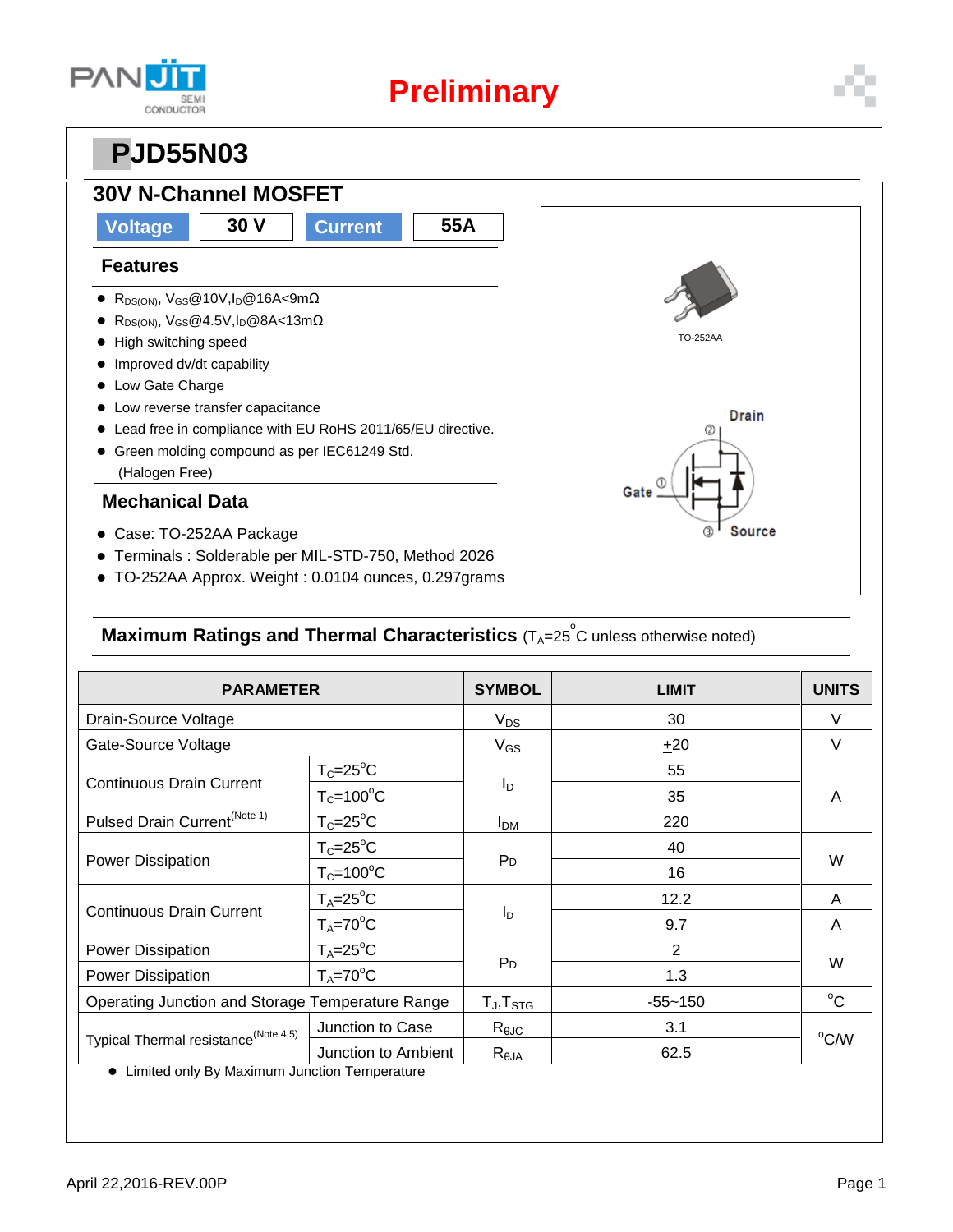

# **Preliminary**

## **PPJD55N03**

### **30V N-Channel MOSFET**

### **Voltage 30 V Current 55A**

#### **Features**

- $\bullet$  R<sub>DS(ON)</sub>, V<sub>GS</sub>@10V,I<sub>D</sub>@16A<9m $\Omega$
- R<sub>DS(ON)</sub>, V<sub>GS</sub>@4.5V,I<sub>D</sub>@8A<13mΩ
- $\bullet$  High switching speed
- $\bullet$  Improved dv/dt capability
- Low Gate Charge
- $\bullet$  Low reverse transfer capacitance
- Lead free in compliance with EU RoHS 2011/65/EU directive.
- Green molding compound as per IEC61249 Std. (Halogen Free)

#### **Mechanical Data**

- Case: TO-252AA Package
- Terminals : Solderable per MIL-STD-750, Method 2026
- TO-252AA Approx. Weight : 0.0104 ounces, 0.297grams



### **Maximum Ratings and Thermal Characteristics** (T<sub>A</sub>=25<sup>°</sup>C unless otherwise noted)

| <b>PARAMETER</b>                                                                                   |                      | <b>SYMBOL</b>                                        | <b>LIMIT</b>   | <b>UNITS</b> |  |
|----------------------------------------------------------------------------------------------------|----------------------|------------------------------------------------------|----------------|--------------|--|
| Drain-Source Voltage                                                                               |                      | $V_{DS}$                                             | 30             | V            |  |
| Gate-Source Voltage                                                                                |                      | $V_{GS}$                                             | ±20            | $\vee$       |  |
| <b>Continuous Drain Current</b>                                                                    | $T_c = 25^{\circ}C$  | I <sub>D</sub>                                       | 55             | A            |  |
|                                                                                                    | $T_c = 100^{\circ}C$ |                                                      | 35             |              |  |
| Pulsed Drain Current <sup>(Note 1)</sup>                                                           | $T_c = 25$ °C        | <b>I</b> <sub>DM</sub>                               | 220            |              |  |
| <b>Power Dissipation</b>                                                                           | $T_c = 25$ °C        | P <sub>D</sub>                                       | 40             | W            |  |
|                                                                                                    | $T_c = 100^{\circ}C$ |                                                      | 16             |              |  |
| <b>Continuous Drain Current</b>                                                                    | $T_A = 25$ °C        | $I_{\mathsf{D}}$                                     | 12.2           | A            |  |
|                                                                                                    | $T_A = 70$ °C        |                                                      | 9.7            | A            |  |
| Power Dissipation                                                                                  | $T_A = 25$ °C        |                                                      | $\overline{2}$ | W            |  |
| Power Dissipation                                                                                  | $T_A = 70$ °C        | P <sub>D</sub>                                       | 1.3            |              |  |
| Operating Junction and Storage Temperature Range                                                   |                      | $\mathsf{T}_{\mathsf{J}}, \mathsf{T}_{\mathsf{STG}}$ | $-55 - 150$    | $^{\circ}C$  |  |
| Typical Thermal resistance <sup>(Note 4,5)</sup><br>A Limited only By Movimum Junction Temperature | Junction to Case     | $R_{\theta$ JC                                       | 3.1            | °C/W         |  |
|                                                                                                    | Junction to Ambient  | $R_{\theta JA}$                                      | 62.5           |              |  |

Limited only By Maximum Junction Temperature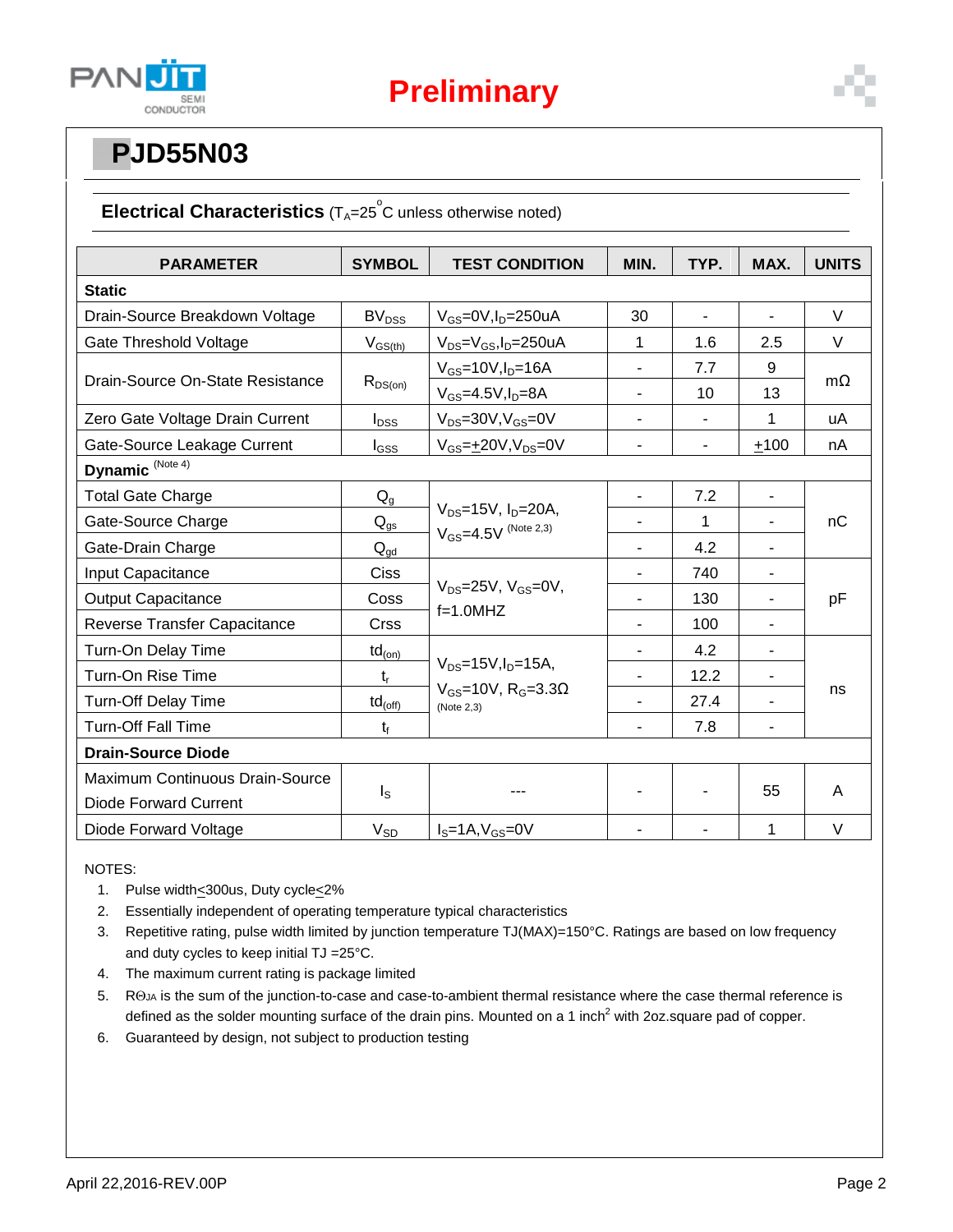

# **PPJD55N03**

### Electrical Characteristics (T<sub>A</sub>=25<sup>°</sup>C unless otherwise noted)

| <b>PARAMETER</b>                 | <b>SYMBOL</b>                        | <b>TEST CONDITION</b>                                                                   | MIN.                     | TYP.           | MAX.                     | <b>UNITS</b> |  |  |
|----------------------------------|--------------------------------------|-----------------------------------------------------------------------------------------|--------------------------|----------------|--------------------------|--------------|--|--|
| <b>Static</b>                    |                                      |                                                                                         |                          |                |                          |              |  |  |
| Drain-Source Breakdown Voltage   | BV <sub>DSS</sub>                    | $V_{GS}$ =0V, $I_D$ =250uA                                                              | 30                       |                |                          | $\vee$       |  |  |
| Gate Threshold Voltage           | $V_{GS(th)}$                         | $V_{DS} = V_{GS}$ , I <sub>D</sub> =250uA                                               | 1                        | 1.6            | 2.5                      | $\vee$       |  |  |
| Drain-Source On-State Resistance | $R_{DS(on)}$                         | $V_{GS}$ =10V, $I_D$ =16A                                                               | $\overline{\phantom{0}}$ | 7.7            | 9                        | $m\Omega$    |  |  |
|                                  |                                      | $V_{GS}$ =4.5V, $I_D$ =8A                                                               | $\blacksquare$           | 10             | 13                       |              |  |  |
| Zero Gate Voltage Drain Current  | $I_{DSS}$                            | $V_{DS} = 30V$ , $V_{GS} = 0V$                                                          | $\blacksquare$           | $\blacksquare$ | 1                        | uA           |  |  |
| Gate-Source Leakage Current      | $I_{GSS}$                            | $V_{GS} = \pm 20V, V_{DS} = 0V$                                                         | $\overline{\phantom{a}}$ | $\overline{a}$ | ±100                     | nA           |  |  |
| Dynamic <sup>(Note 4)</sup>      |                                      |                                                                                         |                          |                |                          |              |  |  |
| <b>Total Gate Charge</b>         | $Q_{g}$                              | $V_{DS} = 15V$ , $I_D = 20A$ ,<br>$V_{GS} = 4.5V$ (Note 2,3)                            |                          | 7.2            |                          | nC           |  |  |
| Gate-Source Charge               | $\mathsf{Q}_{\underline{\text{gs}}}$ |                                                                                         |                          | 1              | $\blacksquare$           |              |  |  |
| Gate-Drain Charge                | $Q_{gd}$                             |                                                                                         | $\blacksquare$           | 4.2            | $\blacksquare$           |              |  |  |
| Input Capacitance                | <b>Ciss</b>                          | $V_{DS}$ =25V, $V_{GS}$ =0V,<br>$f=1.0$ MHZ                                             |                          | 740            | $\overline{\phantom{m}}$ | pF           |  |  |
| <b>Output Capacitance</b>        | Coss                                 |                                                                                         |                          | 130            | $\overline{a}$           |              |  |  |
| Reverse Transfer Capacitance     | <b>Crss</b>                          |                                                                                         |                          | 100            |                          |              |  |  |
| Turn-On Delay Time               | $\mathsf{td}_{\mathsf{(on)}}$        |                                                                                         |                          | 4.2            | $\blacksquare$           | ns           |  |  |
| Turn-On Rise Time                | $t_{r}$                              | $V_{DS} = 15V, I_D = 15A,$<br>$V_{GS}$ =10V, R <sub>G</sub> =3.3 $\Omega$<br>(Note 2,3) | $\blacksquare$           | 12.2           | $\overline{\phantom{a}}$ |              |  |  |
| <b>Turn-Off Delay Time</b>       | $td_{(off)}$                         |                                                                                         |                          | 27.4           | L.                       |              |  |  |
| <b>Turn-Off Fall Time</b>        | $t_{f}$                              |                                                                                         |                          | 7.8            | $\blacksquare$           |              |  |  |
| <b>Drain-Source Diode</b>        |                                      |                                                                                         |                          |                |                          |              |  |  |
| Maximum Continuous Drain-Source  |                                      |                                                                                         |                          |                | 55                       | A            |  |  |
| <b>Diode Forward Current</b>     | $I_{\rm S}$                          |                                                                                         |                          |                |                          |              |  |  |
| Diode Forward Voltage            | $V_{SD}$                             | $IS=1A, VGS=0V$                                                                         |                          |                | 1                        | $\vee$       |  |  |

NOTES:

- 1. Pulse width<300us, Duty cycle<2%
- 2. Essentially independent of operating temperature typical characteristics
- 3. Repetitive rating, pulse width limited by junction temperature TJ(MAX)=150°C. Ratings are based on low frequency and duty cycles to keep initial TJ =25°C.
- 4. The maximum current rating is package limited
- 5. ROJA is the sum of the junction-to-case and case-to-ambient thermal resistance where the case thermal reference is defined as the solder mounting surface of the drain pins. Mounted on a 1 inch<sup>2</sup> with 2oz.square pad of copper.
- 6. Guaranteed by design, not subject to production testing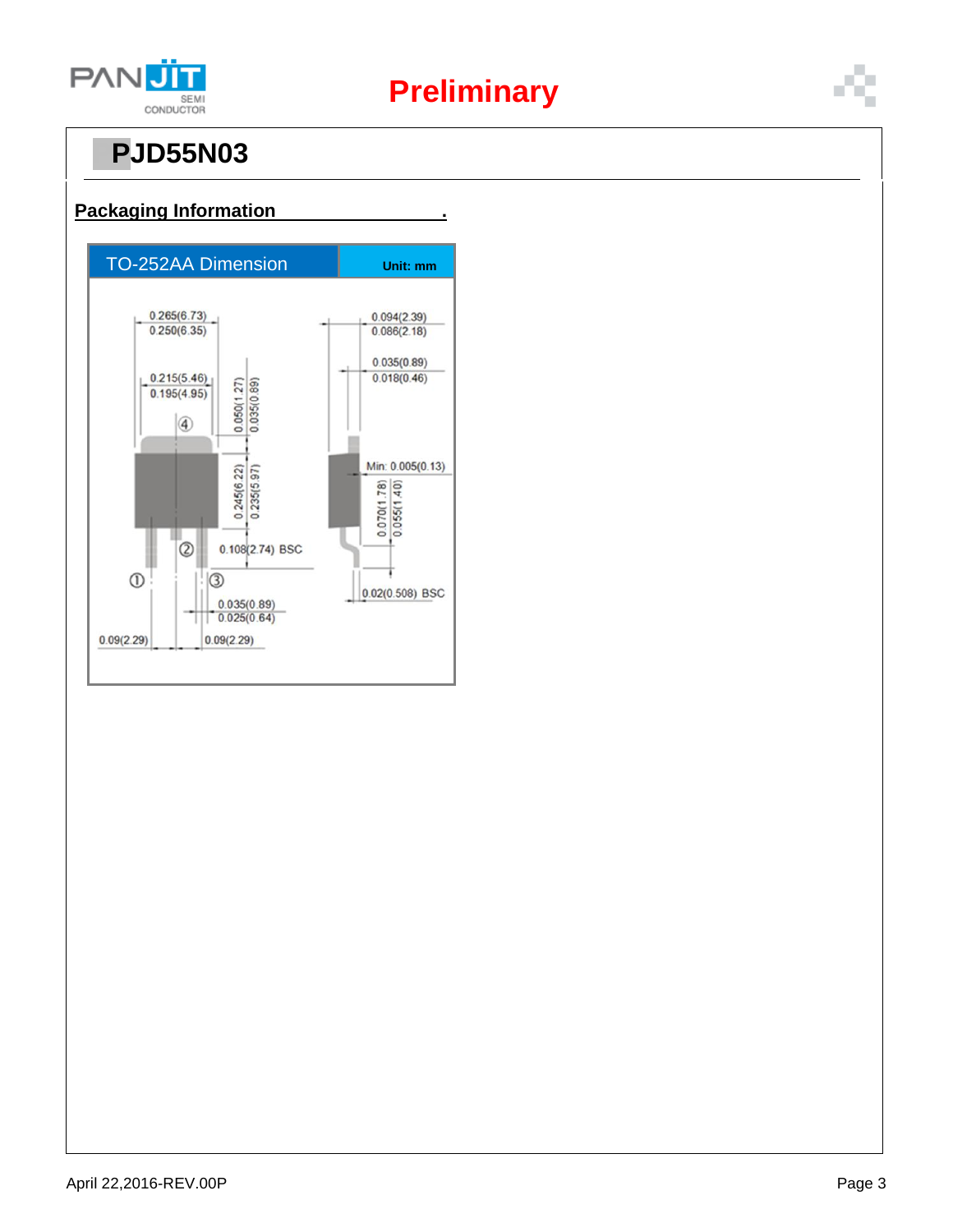

# **Preliminary**

# **PPJD55N03**



#### **Packaging Information .**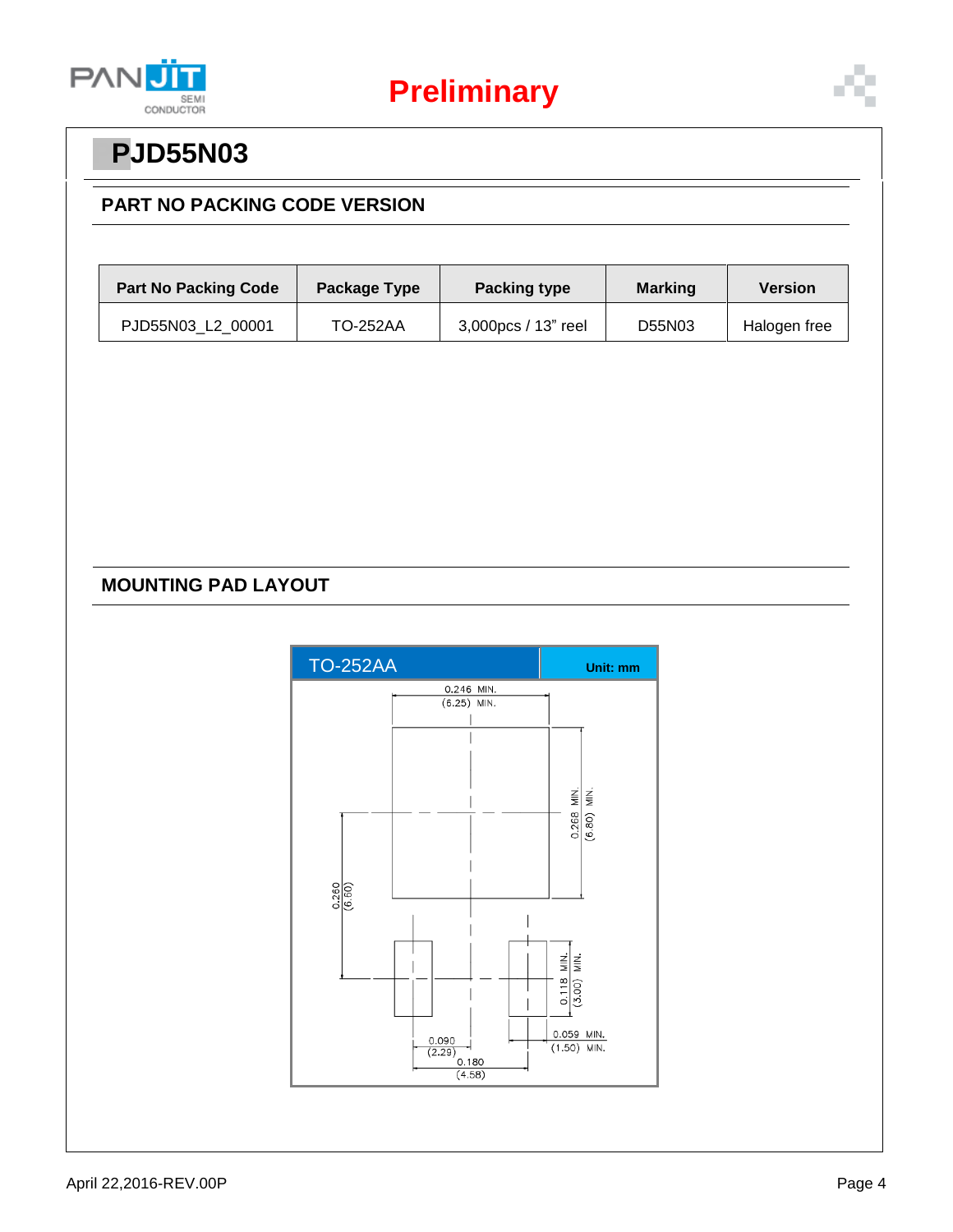



## **PPJD55N03**

### **PART NO PACKING CODE VERSION**

| <b>Part No Packing Code</b> | Package Type | <b>Packing type</b> | <b>Marking</b> | <b>Version</b> |  |
|-----------------------------|--------------|---------------------|----------------|----------------|--|
| PJD55N03 L2 00001           | TO-252AA     | 3,000pcs / 13" reel | D55N03         | Halogen free   |  |

### **MOUNTING PAD LAYOUT**